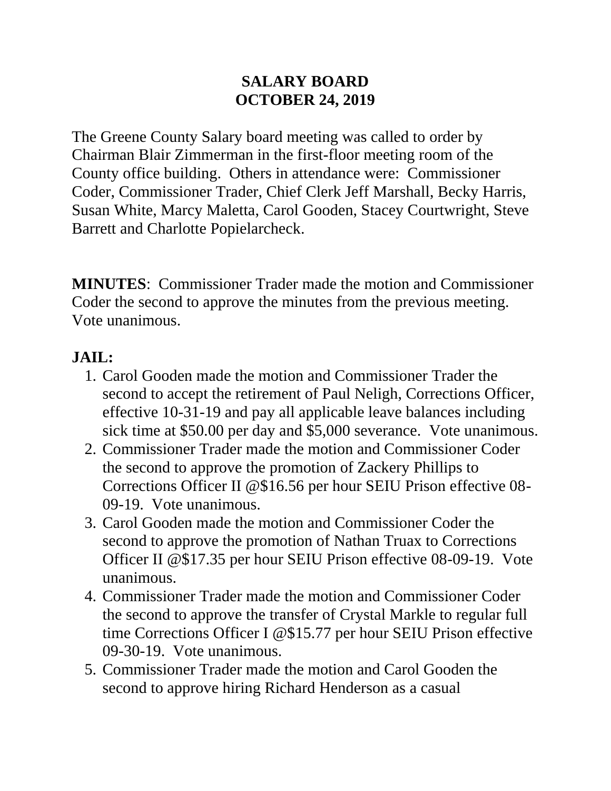#### **SALARY BOARD OCTOBER 24, 2019**

The Greene County Salary board meeting was called to order by Chairman Blair Zimmerman in the first-floor meeting room of the County office building. Others in attendance were: Commissioner Coder, Commissioner Trader, Chief Clerk Jeff Marshall, Becky Harris, Susan White, Marcy Maletta, Carol Gooden, Stacey Courtwright, Steve Barrett and Charlotte Popielarcheck.

**MINUTES**: Commissioner Trader made the motion and Commissioner Coder the second to approve the minutes from the previous meeting. Vote unanimous.

## **JAIL:**

- 1. Carol Gooden made the motion and Commissioner Trader the second to accept the retirement of Paul Neligh, Corrections Officer, effective 10-31-19 and pay all applicable leave balances including sick time at \$50.00 per day and \$5,000 severance. Vote unanimous.
- 2. Commissioner Trader made the motion and Commissioner Coder the second to approve the promotion of Zackery Phillips to Corrections Officer II @\$16.56 per hour SEIU Prison effective 08- 09-19. Vote unanimous.
- 3. Carol Gooden made the motion and Commissioner Coder the second to approve the promotion of Nathan Truax to Corrections Officer II @\$17.35 per hour SEIU Prison effective 08-09-19. Vote unanimous.
- 4. Commissioner Trader made the motion and Commissioner Coder the second to approve the transfer of Crystal Markle to regular full time Corrections Officer I @\$15.77 per hour SEIU Prison effective 09-30-19. Vote unanimous.
- 5. Commissioner Trader made the motion and Carol Gooden the second to approve hiring Richard Henderson as a casual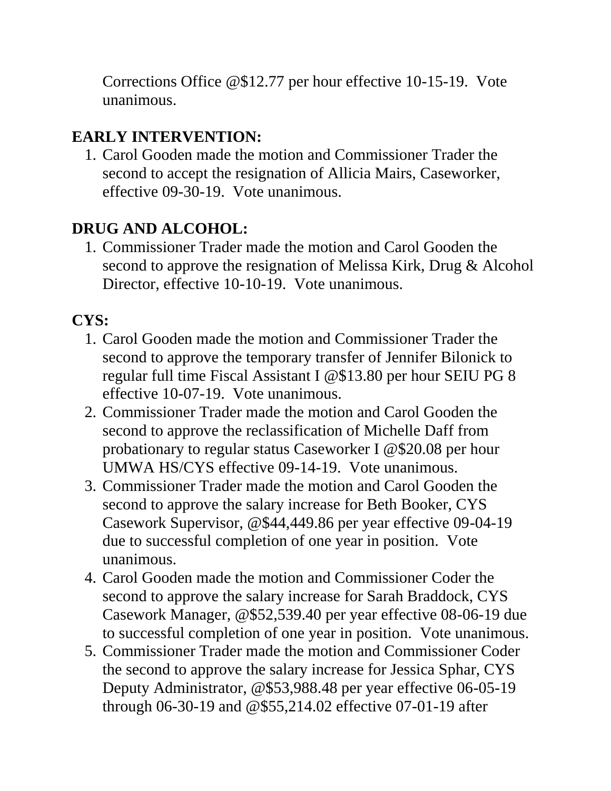Corrections Office @\$12.77 per hour effective 10-15-19. Vote unanimous.

# **EARLY INTERVENTION:**

1. Carol Gooden made the motion and Commissioner Trader the second to accept the resignation of Allicia Mairs, Caseworker, effective 09-30-19. Vote unanimous.

# **DRUG AND ALCOHOL:**

1. Commissioner Trader made the motion and Carol Gooden the second to approve the resignation of Melissa Kirk, Drug & Alcohol Director, effective 10-10-19. Vote unanimous.

# **CYS:**

- 1. Carol Gooden made the motion and Commissioner Trader the second to approve the temporary transfer of Jennifer Bilonick to regular full time Fiscal Assistant I @\$13.80 per hour SEIU PG 8 effective 10-07-19. Vote unanimous.
- 2. Commissioner Trader made the motion and Carol Gooden the second to approve the reclassification of Michelle Daff from probationary to regular status Caseworker I @\$20.08 per hour UMWA HS/CYS effective 09-14-19. Vote unanimous.
- 3. Commissioner Trader made the motion and Carol Gooden the second to approve the salary increase for Beth Booker, CYS Casework Supervisor, @\$44,449.86 per year effective 09-04-19 due to successful completion of one year in position. Vote unanimous.
- 4. Carol Gooden made the motion and Commissioner Coder the second to approve the salary increase for Sarah Braddock, CYS Casework Manager, @\$52,539.40 per year effective 08-06-19 due to successful completion of one year in position. Vote unanimous.
- 5. Commissioner Trader made the motion and Commissioner Coder the second to approve the salary increase for Jessica Sphar, CYS Deputy Administrator, @\$53,988.48 per year effective 06-05-19 through 06-30-19 and @\$55,214.02 effective 07-01-19 after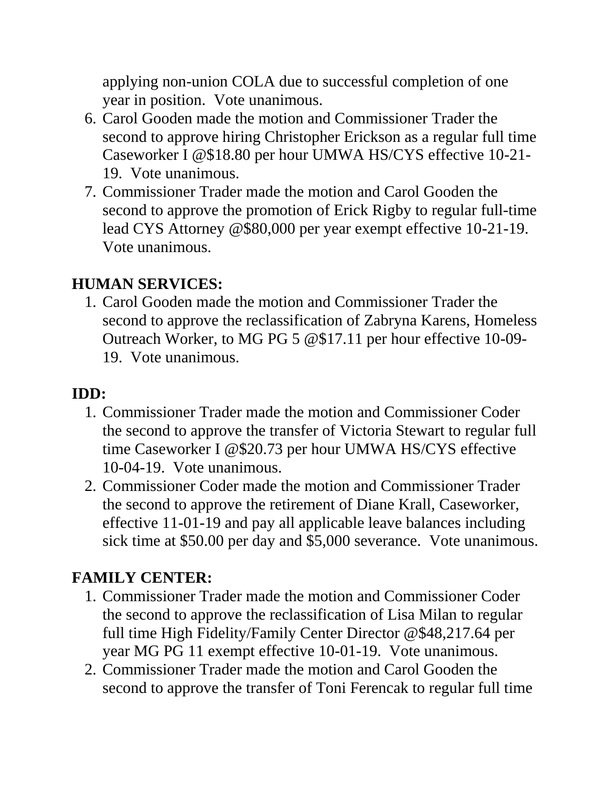applying non-union COLA due to successful completion of one year in position. Vote unanimous.

- 6. Carol Gooden made the motion and Commissioner Trader the second to approve hiring Christopher Erickson as a regular full time Caseworker I @\$18.80 per hour UMWA HS/CYS effective 10-21- 19. Vote unanimous.
- 7. Commissioner Trader made the motion and Carol Gooden the second to approve the promotion of Erick Rigby to regular full-time lead CYS Attorney @\$80,000 per year exempt effective 10-21-19. Vote unanimous.

#### **HUMAN SERVICES:**

1. Carol Gooden made the motion and Commissioner Trader the second to approve the reclassification of Zabryna Karens, Homeless Outreach Worker, to MG PG 5 @\$17.11 per hour effective 10-09- 19. Vote unanimous.

## **IDD:**

- 1. Commissioner Trader made the motion and Commissioner Coder the second to approve the transfer of Victoria Stewart to regular full time Caseworker I @\$20.73 per hour UMWA HS/CYS effective 10-04-19. Vote unanimous.
- 2. Commissioner Coder made the motion and Commissioner Trader the second to approve the retirement of Diane Krall, Caseworker, effective 11-01-19 and pay all applicable leave balances including sick time at \$50.00 per day and \$5,000 severance. Vote unanimous.

### **FAMILY CENTER:**

- 1. Commissioner Trader made the motion and Commissioner Coder the second to approve the reclassification of Lisa Milan to regular full time High Fidelity/Family Center Director @\$48,217.64 per year MG PG 11 exempt effective 10-01-19. Vote unanimous.
- 2. Commissioner Trader made the motion and Carol Gooden the second to approve the transfer of Toni Ferencak to regular full time